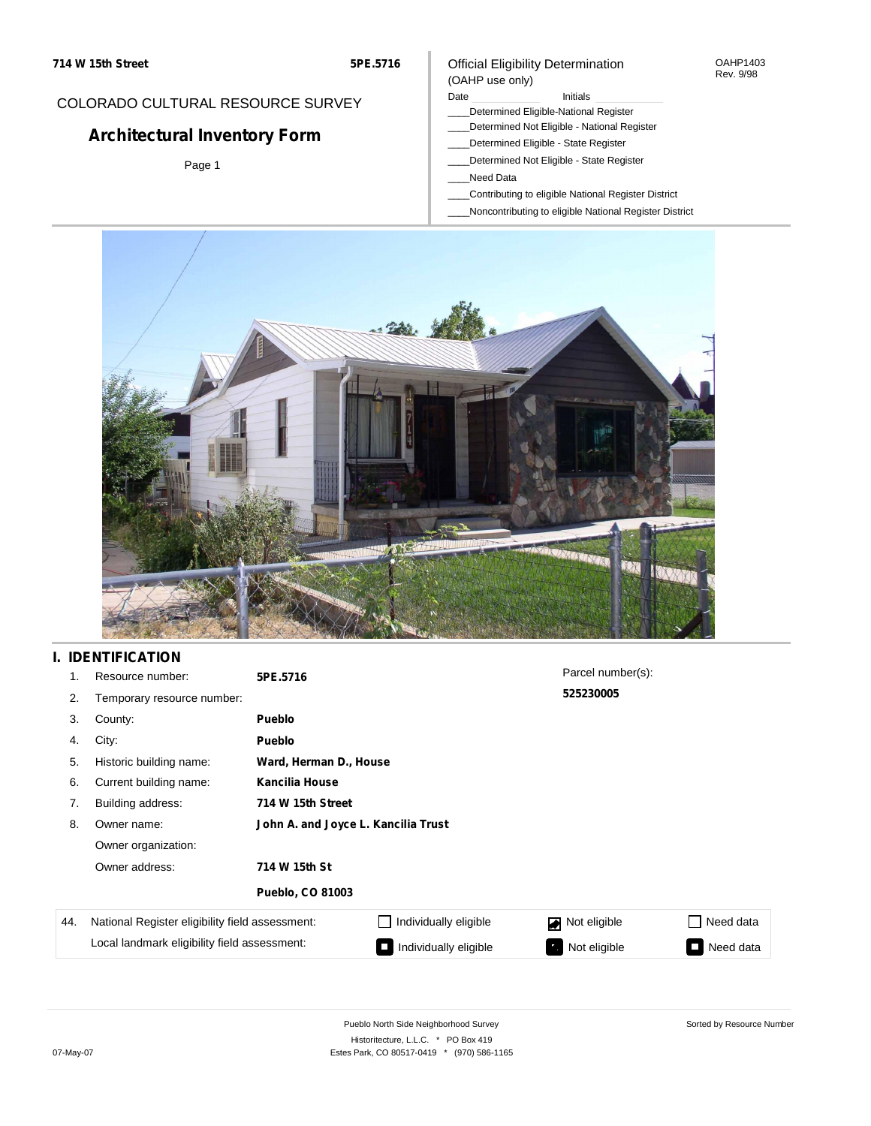## COLORADO CULTURAL RESOURCE SURVEY

# **Architectural Inventory Form**

Page 1

### Official Eligibility Determination (OAHP use only)

### Date **Initials** Initials

- \_\_\_\_Determined Eligible-National Register
- \_\_\_\_Determined Not Eligible National Register
- \_\_\_\_Determined Eligible State Register
- \_\_\_\_Determined Not Eligible State Register
- \_\_\_\_Need Data
- \_\_\_\_Contributing to eligible National Register District
- \_\_\_\_Noncontributing to eligible National Register District



## **I. IDENTIFICATION**

| 1.  | Resource number:                                | 5PE.5716                            |                        | Parcel number(s): |           |  |  |  |  |
|-----|-------------------------------------------------|-------------------------------------|------------------------|-------------------|-----------|--|--|--|--|
| 2.  | Temporary resource number:                      |                                     |                        | 525230005         |           |  |  |  |  |
| 3.  | County:                                         | <b>Pueblo</b>                       |                        |                   |           |  |  |  |  |
| 4.  | City:                                           | <b>Pueblo</b>                       |                        |                   |           |  |  |  |  |
| 5.  | Historic building name:                         |                                     | Ward, Herman D., House |                   |           |  |  |  |  |
| 6.  | Current building name:                          | Kancilia House                      |                        |                   |           |  |  |  |  |
| 7.  | Building address:                               | 714 W 15th Street                   |                        |                   |           |  |  |  |  |
| 8.  | Owner name:                                     | John A. and Joyce L. Kancilia Trust |                        |                   |           |  |  |  |  |
|     | Owner organization:                             |                                     |                        |                   |           |  |  |  |  |
|     | Owner address:                                  | 714 W 15th St                       |                        |                   |           |  |  |  |  |
|     |                                                 | <b>Pueblo, CO 81003</b>             |                        |                   |           |  |  |  |  |
| 44. | National Register eligibility field assessment: |                                     | Individually eligible  | Not eligible      | Need data |  |  |  |  |
|     | Local landmark eligibility field assessment:    |                                     | Individually eligible  | Not eligible      | Need data |  |  |  |  |

OAHP1403 Rev. 9/98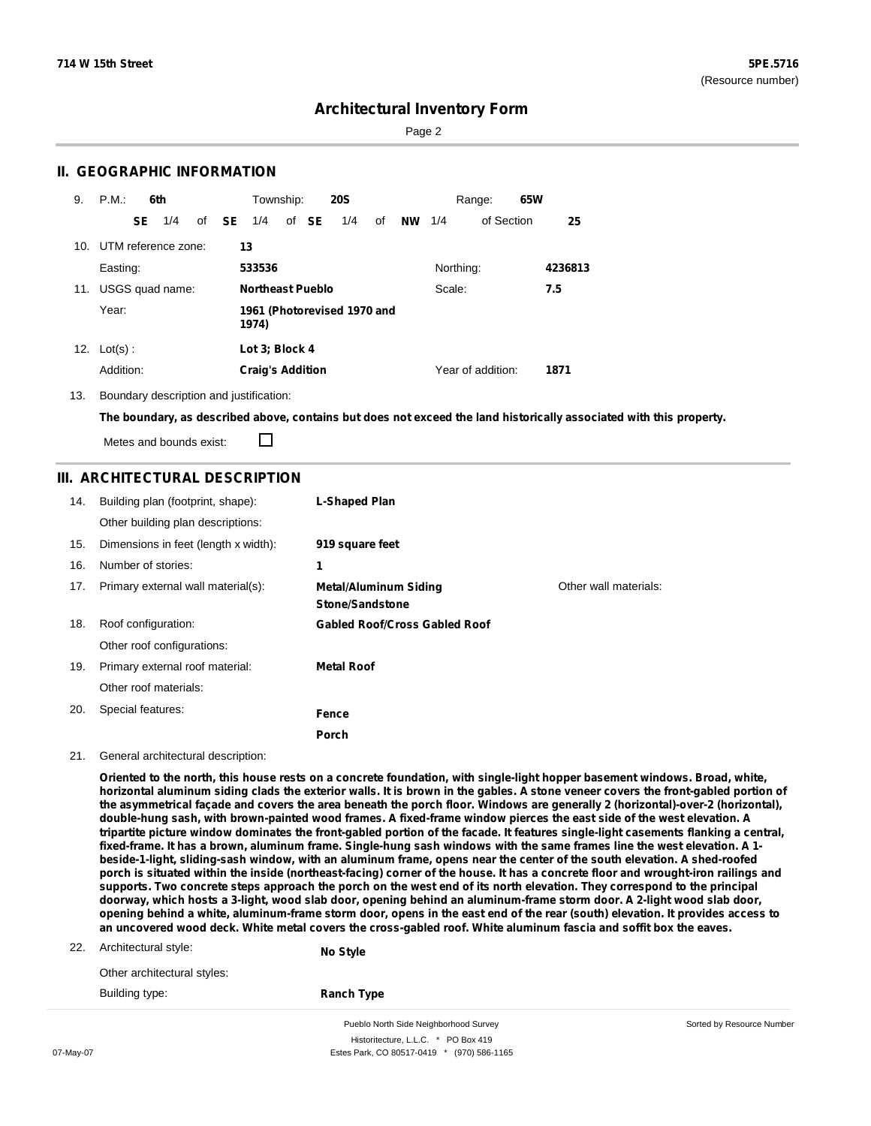Sorted by Resource Number

## **Architectural Inventory Form**

Page 2

## **II. GEOGRAPHIC INFORMATION**

| 9.  | P.M.                    |                                      | 6th             |  |              | Township:               |  |       | <b>20S</b> |    |           |           | Range:            | 65W |         |
|-----|-------------------------|--------------------------------------|-----------------|--|--------------|-------------------------|--|-------|------------|----|-----------|-----------|-------------------|-----|---------|
|     |                         | SE.                                  | 1/4             |  | of <b>SE</b> | 1/4                     |  | of SE | 1/4        | of | <b>NW</b> | 1/4       | of Section        |     | 25      |
|     | 10. UTM reference zone: |                                      |                 |  |              | 13                      |  |       |            |    |           |           |                   |     |         |
|     | Easting:                |                                      |                 |  |              | 533536                  |  |       |            |    |           | Northing: |                   |     | 4236813 |
| 11. |                         |                                      | USGS quad name: |  |              | <b>Northeast Pueblo</b> |  |       |            |    |           | Scale:    |                   |     | 7.5     |
|     | Year:                   | 1961 (Photorevised 1970 and<br>1974) |                 |  |              |                         |  |       |            |    |           |           |                   |     |         |
| 12. | $Lot(s)$ :              |                                      |                 |  |              | Lot 3: Block 4          |  |       |            |    |           |           |                   |     |         |
|     | Addition:               |                                      |                 |  |              | <b>Craig's Addition</b> |  |       |            |    |           |           | Year of addition: |     | 1871    |

13. Boundary description and justification:

The boundary, as described above, contains but does not exceed the land historically associated with this property.

Metes and bounds exist:

П

## **III. ARCHITECTURAL DESCRIPTION**

| 14. | Building plan (footprint, shape):<br>Other building plan descriptions: | <b>L-Shaped Plan</b>                            |                       |
|-----|------------------------------------------------------------------------|-------------------------------------------------|-----------------------|
| 15. | Dimensions in feet (length x width):                                   | 919 square feet                                 |                       |
| 16. | Number of stories:                                                     | 1                                               |                       |
| 17. | Primary external wall material(s):                                     | <b>Metal/Aluminum Siding</b><br>Stone/Sandstone | Other wall materials: |
| 18. | Roof configuration:                                                    | <b>Gabled Roof/Cross Gabled Roof</b>            |                       |
|     | Other roof configurations:                                             |                                                 |                       |
| 19. | Primary external roof material:                                        | <b>Metal Roof</b>                               |                       |
|     | Other roof materials:                                                  |                                                 |                       |
| 20. | Special features:                                                      | Fence                                           |                       |
|     |                                                                        | Porch                                           |                       |

#### 21. General architectural description:

Oriented to the north, this house rests on a concrete foundation, with single-light hopper basement windows. Broad, white, horizontal aluminum siding clads the exterior walls. It is brown in the gables. A stone veneer covers the front-gabled portion of the asymmetrical façade and covers the area beneath the porch floor. Windows are generally 2 (horizontal)-over-2 (horizontal), double-hung sash, with brown-painted wood frames. A fixed-frame window pierces the east side of the west elevation. A tripartite picture window dominates the front-gabled portion of the facade. It features single-light casements flanking a central, fixed-frame. It has a brown, aluminum frame. Single-hung sash windows with the same frames line the west elevation. A 1beside-1-light, sliding-sash window, with an aluminum frame, opens near the center of the south elevation. A shed-roofed porch is situated within the inside (northeast-facing) corner of the house. It has a concrete floor and wrought-iron railings and supports. Two concrete steps approach the porch on the west end of its north elevation. They correspond to the principal doorway, which hosts a 3-light, wood slab door, opening behind an aluminum-frame storm door. A 2-light wood slab door, opening behind a white, aluminum-frame storm door, opens in the east end of the rear (south) elevation. It provides access to an uncovered wood deck. White metal covers the cross-gabled roof. White aluminum fascia and soffit box the eaves.

22. Architectural style:

**No Style**

Other architectural styles: Building type:

**Ranch Type**

Pueblo North Side Neighborhood Survey Historitecture, L.L.C. \* PO Box 419 07-May-07 **Estes Park, CO 80517-0419** \* (970) 586-1165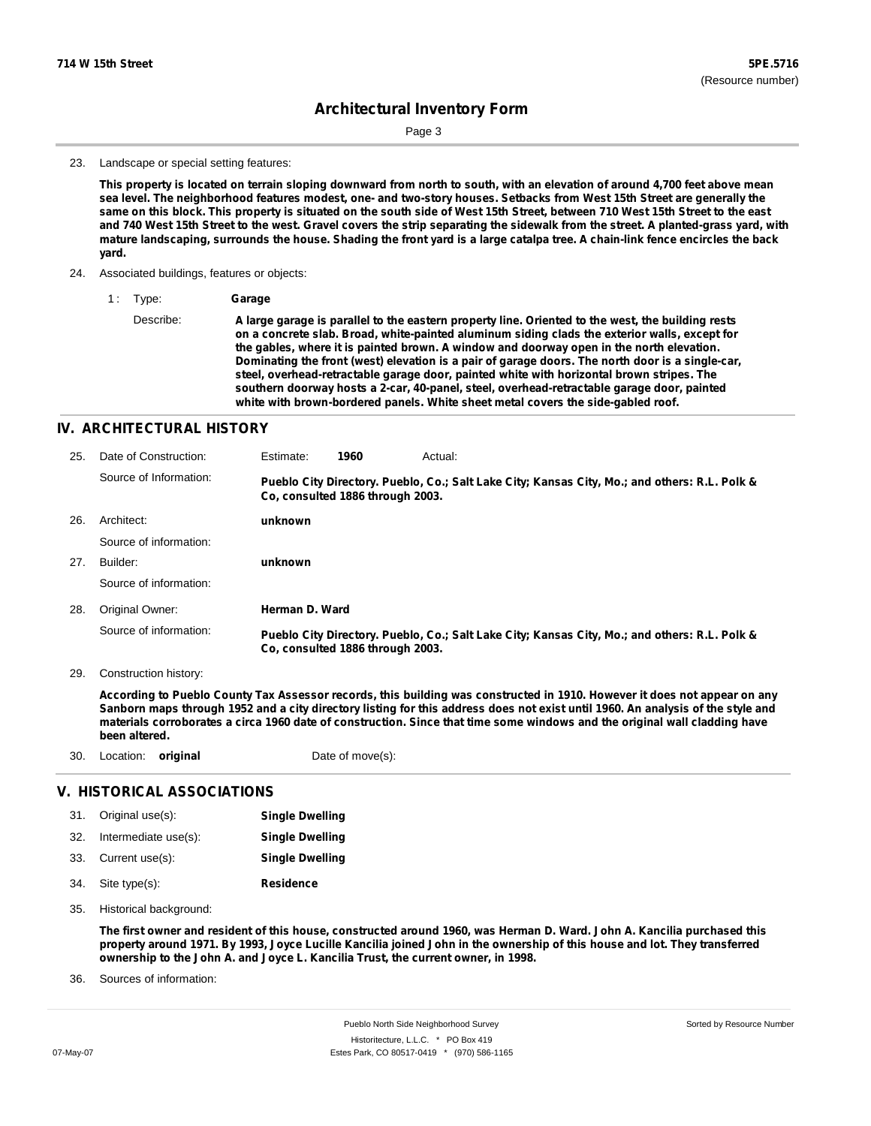Page 3

#### 23. Landscape or special setting features:

This property is located on terrain sloping downward from north to south, with an elevation of around 4,700 feet above mean sea level. The neighborhood features modest, one- and two-story houses. Setbacks from West 15th Street are generally the same on this block. This property is situated on the south side of West 15th Street, between 710 West 15th Street to the east and 740 West 15th Street to the west. Gravel covers the strip separating the sidewalk from the street. A planted-grass yard, with mature landscaping, surrounds the house. Shading the front yard is a large catalpa tree. A chain-link fence encircles the back **yard.**

- 24. Associated buildings, features or objects:
	- 1 : Type: **Garage**

Describe: A large garage is parallel to the eastern property line. Oriented to the west, the building rests **on a concrete slab. Broad, white-painted aluminum siding clads the exterior walls, except for the gables, where it is painted brown. A window and doorway open in the north elevation. Dominating the front (west) elevation is a pair of garage doors. The north door is a single-car, steel, overhead-retractable garage door, painted white with horizontal brown stripes. The southern doorway hosts a 2-car, 40-panel, steel, overhead-retractable garage door, painted white with brown-bordered panels. White sheet metal covers the side-gabled roof.**

### **IV. ARCHITECTURAL HISTORY**

| 25. | Date of Construction:  | Estimate:      | 1960                             | Actual:                                                                                       |
|-----|------------------------|----------------|----------------------------------|-----------------------------------------------------------------------------------------------|
|     | Source of Information: |                | Co, consulted 1886 through 2003. | Pueblo City Directory. Pueblo, Co.; Salt Lake City; Kansas City, Mo.; and others: R.L. Polk & |
| 26. | Architect:             | unknown        |                                  |                                                                                               |
|     | Source of information: |                |                                  |                                                                                               |
| 27. | Builder:               | unknown        |                                  |                                                                                               |
|     | Source of information: |                |                                  |                                                                                               |
| 28. | Original Owner:        | Herman D. Ward |                                  |                                                                                               |
|     | Source of information: |                | Co. consulted 1886 through 2003. | Pueblo City Directory. Pueblo, Co.; Salt Lake City; Kansas City, Mo.; and others: R.L. Polk & |

29. Construction history:

According to Pueblo County Tax Assessor records, this building was constructed in 1910. However it does not appear on any Sanborn maps through 1952 and a city directory listing for this address does not exist until 1960. An analysis of the style and materials corroborates a circa 1960 date of construction. Since that time some windows and the original wall cladding have **been altered.**

| 30. | Location: original   |                            | Date of move(s):       |  |  |  |
|-----|----------------------|----------------------------|------------------------|--|--|--|
|     |                      | V. HISTORICAL ASSOCIATIONS |                        |  |  |  |
| 31. | Original use(s):     |                            | <b>Single Dwelling</b> |  |  |  |
| 32. | Intermediate use(s): |                            | <b>Single Dwelling</b> |  |  |  |

- **Residence** Site type(s): 34. 33. Current use(s): **Single Dwelling**
- 35. Historical background:

The first owner and resident of this house, constructed around 1960, was Herman D. Ward. John A. Kancilia purchased this property around 1971. By 1993, Joyce Lucille Kancilia joined John in the ownership of this house and lot. They transferred **ownership to the John A. and Joyce L. Kancilia Trust, the current owner, in 1998.**

Sources of information: 36.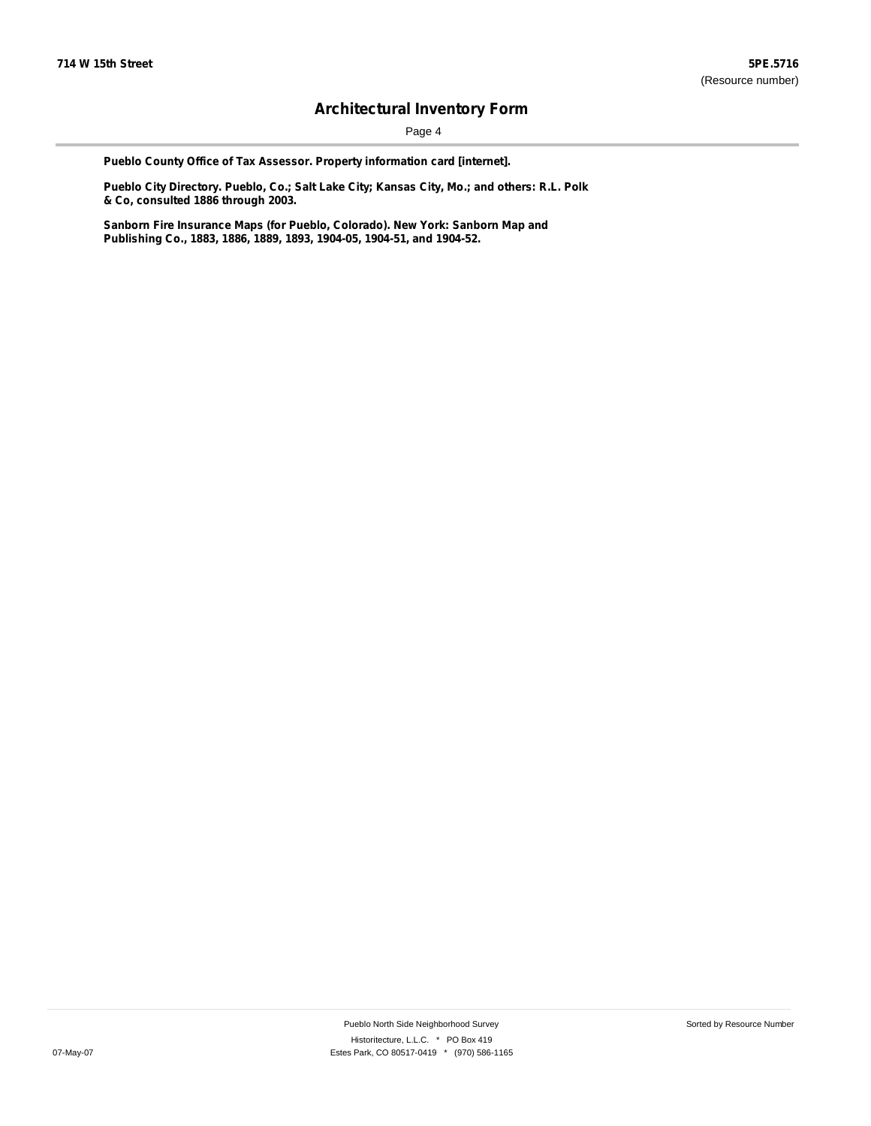Page 4

**Pueblo County Office of Tax Assessor. Property information card [internet].**

**Pueblo City Directory. Pueblo, Co.; Salt Lake City; Kansas City, Mo.; and others: R.L. Polk & Co, consulted 1886 through 2003.**

**Sanborn Fire Insurance Maps (for Pueblo, Colorado). New York: Sanborn Map and Publishing Co., 1883, 1886, 1889, 1893, 1904-05, 1904-51, and 1904-52.**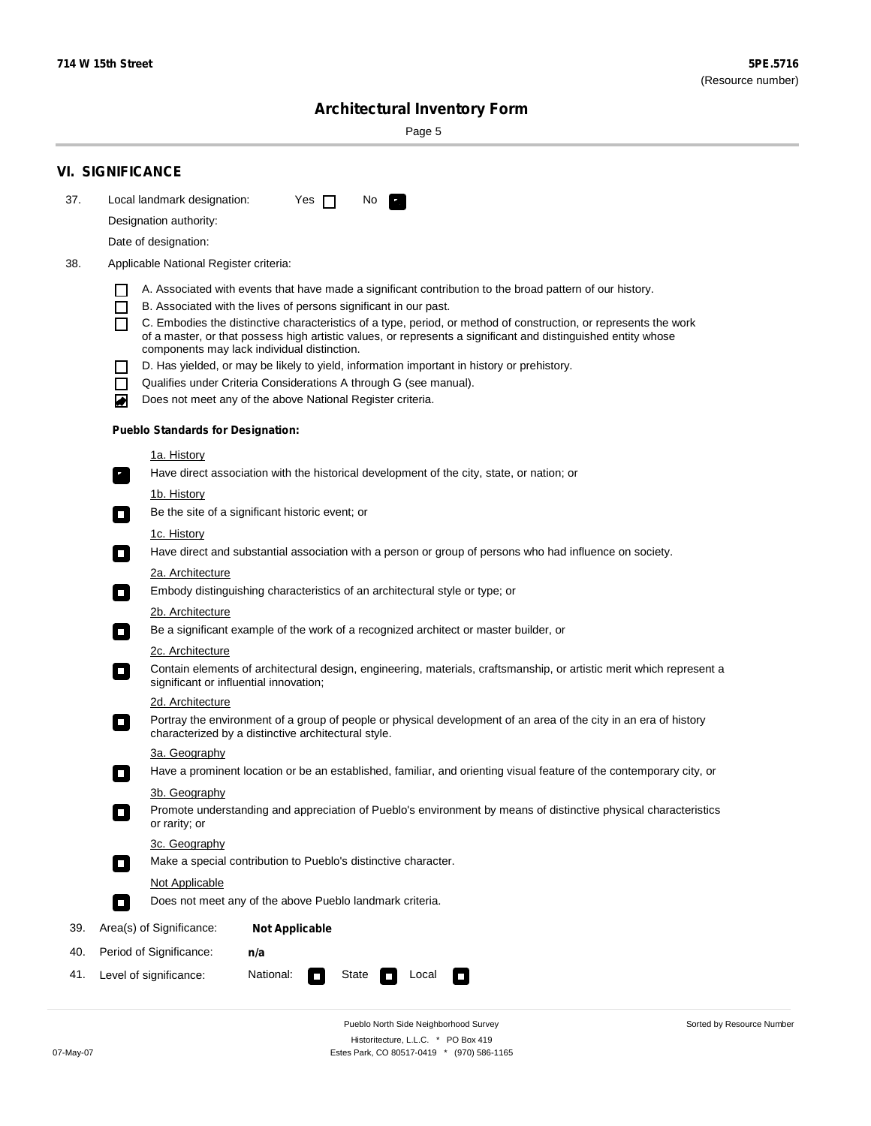$\sim$ 

Sorted by Resource Number

# **Architectural Inventory Form**

Page 5

|                  | <b>VI. SIGNIFICANCE</b>                                                                                                                                                                                                                |  |  |  |  |  |  |  |  |
|------------------|----------------------------------------------------------------------------------------------------------------------------------------------------------------------------------------------------------------------------------------|--|--|--|--|--|--|--|--|
| 37.              | Local landmark designation:<br>Yes $\Box$<br>No.<br>$\mathbf{F}_{\mathbf{a}}$                                                                                                                                                          |  |  |  |  |  |  |  |  |
|                  | Designation authority:                                                                                                                                                                                                                 |  |  |  |  |  |  |  |  |
|                  | Date of designation:                                                                                                                                                                                                                   |  |  |  |  |  |  |  |  |
| 38.              | Applicable National Register criteria:                                                                                                                                                                                                 |  |  |  |  |  |  |  |  |
|                  | A. Associated with events that have made a significant contribution to the broad pattern of our history.<br>$\Box$                                                                                                                     |  |  |  |  |  |  |  |  |
|                  | B. Associated with the lives of persons significant in our past.<br>$\Box$                                                                                                                                                             |  |  |  |  |  |  |  |  |
|                  | C. Embodies the distinctive characteristics of a type, period, or method of construction, or represents the work<br>П<br>of a master, or that possess high artistic values, or represents a significant and distinguished entity whose |  |  |  |  |  |  |  |  |
|                  | components may lack individual distinction.<br>D. Has yielded, or may be likely to yield, information important in history or prehistory.<br>$\mathcal{L}$                                                                             |  |  |  |  |  |  |  |  |
|                  | Qualifies under Criteria Considerations A through G (see manual).<br>H.                                                                                                                                                                |  |  |  |  |  |  |  |  |
|                  | Does not meet any of the above National Register criteria.<br>◙                                                                                                                                                                        |  |  |  |  |  |  |  |  |
|                  | <b>Pueblo Standards for Designation:</b>                                                                                                                                                                                               |  |  |  |  |  |  |  |  |
|                  | <u>1a. History</u>                                                                                                                                                                                                                     |  |  |  |  |  |  |  |  |
|                  | Have direct association with the historical development of the city, state, or nation; or<br>$\mathbf{r}_\perp$                                                                                                                        |  |  |  |  |  |  |  |  |
|                  | 1b. History                                                                                                                                                                                                                            |  |  |  |  |  |  |  |  |
|                  | Be the site of a significant historic event; or<br>$\mathcal{L}_{\mathcal{A}}$                                                                                                                                                         |  |  |  |  |  |  |  |  |
|                  | 1c. History                                                                                                                                                                                                                            |  |  |  |  |  |  |  |  |
|                  | Have direct and substantial association with a person or group of persons who had influence on society.<br>$\overline{\phantom{a}}$                                                                                                    |  |  |  |  |  |  |  |  |
| 2a. Architecture |                                                                                                                                                                                                                                        |  |  |  |  |  |  |  |  |
|                  | Embody distinguishing characteristics of an architectural style or type; or<br>$\Box$                                                                                                                                                  |  |  |  |  |  |  |  |  |
|                  | 2b. Architecture                                                                                                                                                                                                                       |  |  |  |  |  |  |  |  |
|                  | Be a significant example of the work of a recognized architect or master builder, or<br>$\sim$                                                                                                                                         |  |  |  |  |  |  |  |  |
|                  | 2c. Architecture                                                                                                                                                                                                                       |  |  |  |  |  |  |  |  |
|                  | Contain elements of architectural design, engineering, materials, craftsmanship, or artistic merit which represent a<br>О<br>significant or influential innovation;                                                                    |  |  |  |  |  |  |  |  |
|                  | 2d. Architecture                                                                                                                                                                                                                       |  |  |  |  |  |  |  |  |
|                  | Portray the environment of a group of people or physical development of an area of the city in an era of history<br>О<br>characterized by a distinctive architectural style.                                                           |  |  |  |  |  |  |  |  |
|                  | 3a. Geography                                                                                                                                                                                                                          |  |  |  |  |  |  |  |  |
|                  | Have a prominent location or be an established, familiar, and orienting visual feature of the contemporary city, or                                                                                                                    |  |  |  |  |  |  |  |  |
|                  | 3b. Geography                                                                                                                                                                                                                          |  |  |  |  |  |  |  |  |
|                  | Promote understanding and appreciation of Pueblo's environment by means of distinctive physical characteristics<br>or rarity; or                                                                                                       |  |  |  |  |  |  |  |  |
|                  | 3c. Geography<br>Make a special contribution to Pueblo's distinctive character.                                                                                                                                                        |  |  |  |  |  |  |  |  |
|                  | Not Applicable                                                                                                                                                                                                                         |  |  |  |  |  |  |  |  |
|                  | Does not meet any of the above Pueblo landmark criteria.<br>Ō.                                                                                                                                                                         |  |  |  |  |  |  |  |  |
| 39.              | Area(s) of Significance:<br><b>Not Applicable</b>                                                                                                                                                                                      |  |  |  |  |  |  |  |  |
| 40.              | Period of Significance:<br>n/a                                                                                                                                                                                                         |  |  |  |  |  |  |  |  |
| 41.              | National:<br>Level of significance:<br>State<br>Local<br>о<br>$\Box$                                                                                                                                                                   |  |  |  |  |  |  |  |  |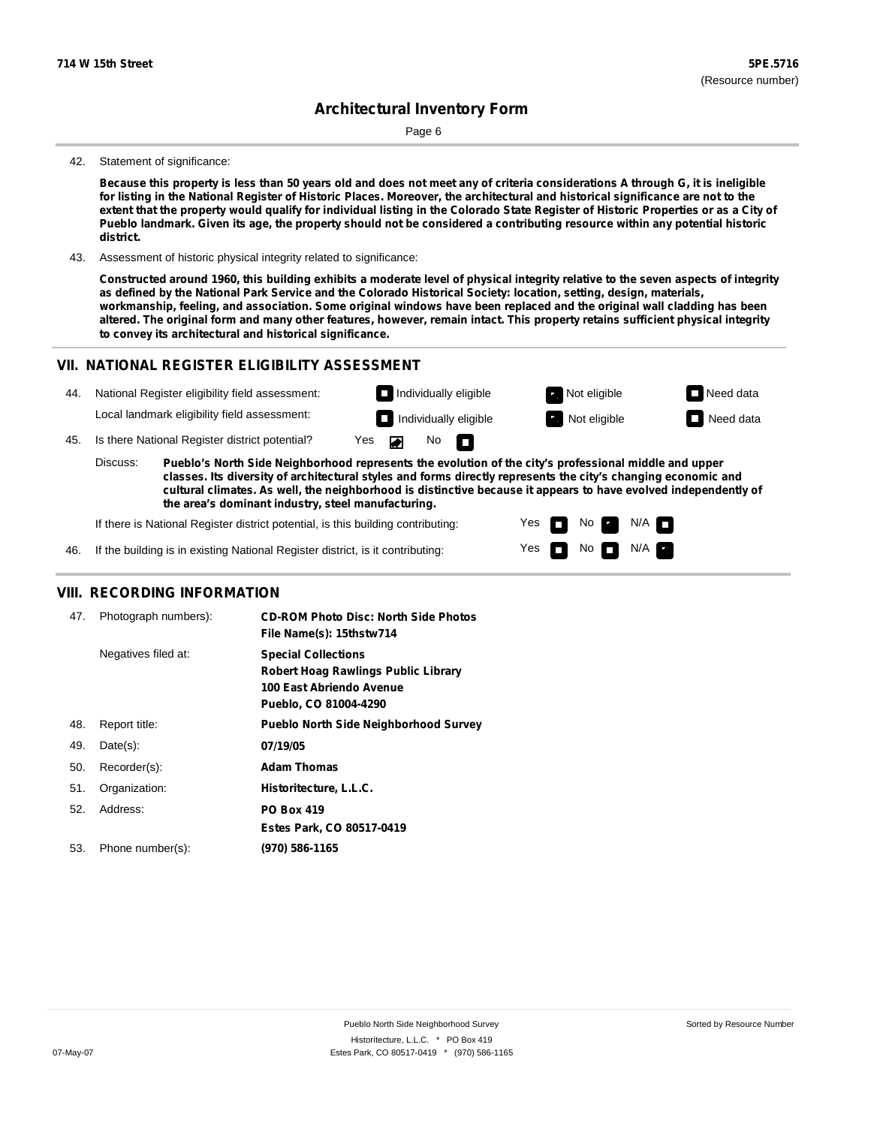Page 6

#### 42. Statement of significance:

Because this property is less than 50 years old and does not meet any of criteria considerations A through G, it is ineligible for listing in the National Register of Historic Places. Moreover, the architectural and historical significance are not to the extent that the property would qualify for individual listing in the Colorado State Register of Historic Properties or as a City of Pueblo landmark. Given its age, the property should not be considered a contributing resource within any potential historic **district.**

43. Assessment of historic physical integrity related to significance:

Constructed around 1960, this building exhibits a moderate level of physical integrity relative to the seven aspects of integrity as defined by the National Park Service and the Colorado Historical Society: location, setting, design, materials, workmanship, feeling, and association. Some original windows have been replaced and the original wall cladding has been altered. The original form and many other features, however, remain intact. This property retains sufficient physical integrity **to convey its architectural and historical significance.**

## **VII. NATIONAL REGISTER ELIGIBILITY ASSESSMENT**

| 44. |                                                                                                                                                                                                                                                                                                                                                       | National Register eligibility field assessment: |     |  |                   | $\Box$ Individually eligible | Not eligible | $\Box$ Need data |
|-----|-------------------------------------------------------------------------------------------------------------------------------------------------------------------------------------------------------------------------------------------------------------------------------------------------------------------------------------------------------|-------------------------------------------------|-----|--|-------------------|------------------------------|--------------|------------------|
|     |                                                                                                                                                                                                                                                                                                                                                       | Local landmark eligibility field assessment:    |     |  |                   | $\Box$ Individually eligible | Not eligible | $\Box$ Need data |
| 45. |                                                                                                                                                                                                                                                                                                                                                       | Is there National Register district potential?  | Yes |  | No $\blacksquare$ |                              |              |                  |
|     | Discuss:<br>Pueblo's North Side Neighborhood represents the evolution of the city's professional middle and upper<br>classes. Its diversity of architectural styles and forms directly represents the city's changing economic and<br>cultural climates. As well, the neighborhood is distinctive because it appears to have evolved independently of |                                                 |     |  |                   |                              |              |                  |

Yes Yes

No

No  $\blacksquare$  N/A  $\blacksquare$ 

 $N/A$   $\Box$ 

**the area's dominant industry, steel manufacturing.**

If there is National Register district potential, is this building contributing:



### **VIII. RECORDING INFORMATION**

| 47. | Photograph numbers): | <b>CD-ROM Photo Disc: North Side Photos</b><br>File Name(s): 15thstw714                                                |
|-----|----------------------|------------------------------------------------------------------------------------------------------------------------|
|     | Negatives filed at:  | <b>Special Collections</b><br>Robert Hoag Rawlings Public Library<br>100 East Abriendo Avenue<br>Pueblo, CO 81004-4290 |
| 48. | Report title:        | <b>Pueblo North Side Neighborhood Survey</b>                                                                           |
| 49. | $Date(s)$ :          | 07/19/05                                                                                                               |
| 50. | Recorder(s):         | <b>Adam Thomas</b>                                                                                                     |
| 51. | Organization:        | Historitecture, L.L.C.                                                                                                 |
| 52. | Address:             | <b>PO Box 419</b>                                                                                                      |
|     |                      | Estes Park, CO 80517-0419                                                                                              |
| 53. | Phone number(s):     | (970) 586-1165                                                                                                         |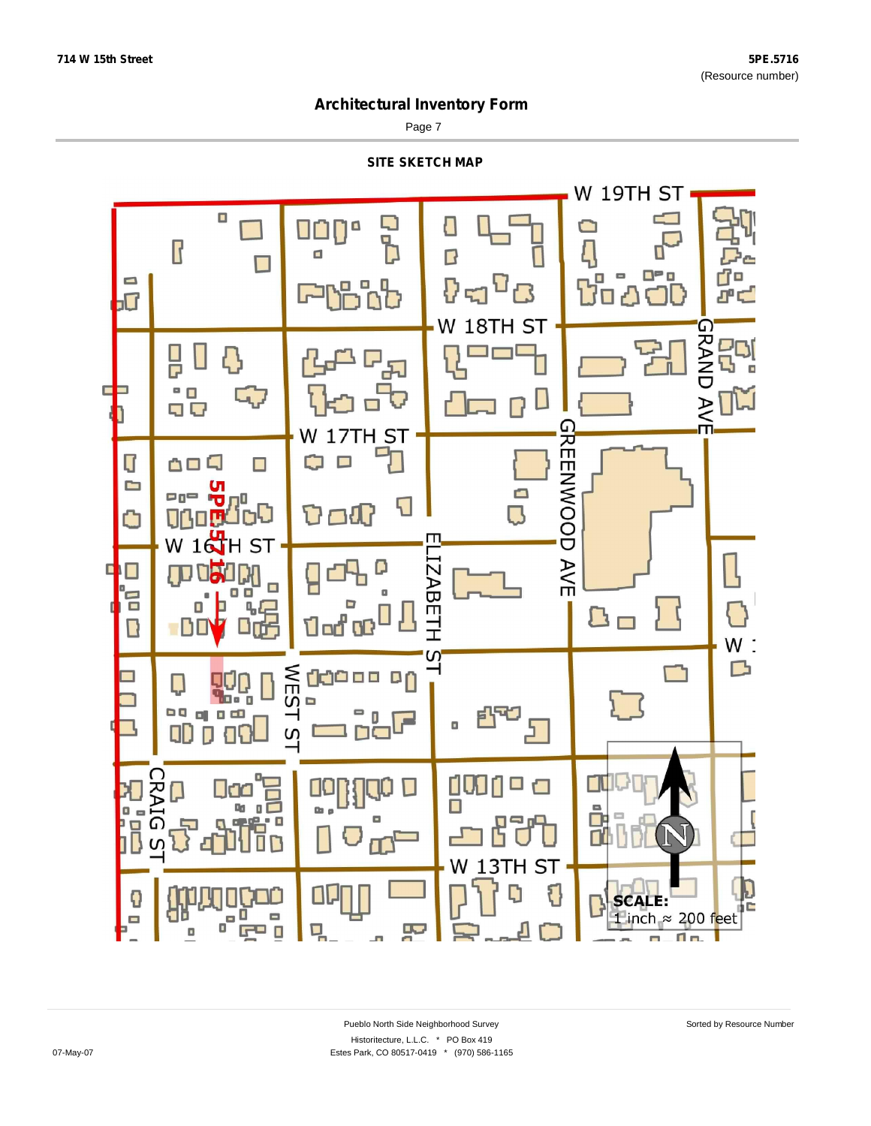Page 7